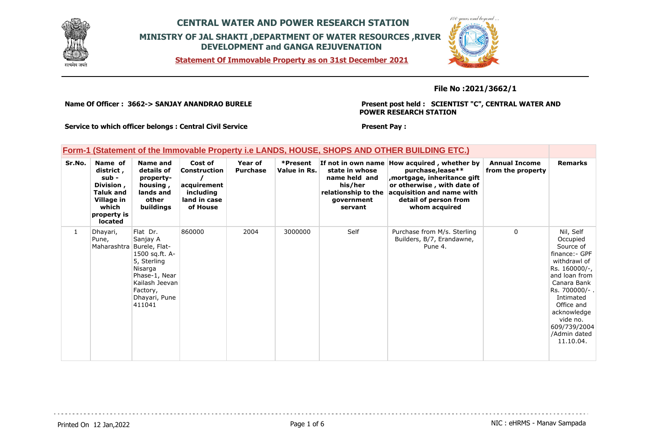





**File No :2021/3662/1**

**Name Of Officer : 3662-> SANJAY ANANDRAO BURELE** 

**Present post held : SCIENTIST "C", CENTRAL WATER AND POWER RESEARCH STATION**

**Service to which officer belongs : Central Civil Service**

#### **Present Pay :**

#### **Form-1 (Statement of the Immovable Property i.e LANDS, HOUSE, SHOPS AND OTHER BUILDING ETC.)**

| Sr.No.       | Name of<br>district,<br>sub -<br>Division,<br><b>Taluk and</b><br>Village in<br>which<br>property is<br>located | Name and<br>details of<br>property-<br>housing,<br>lands and<br>other<br>buildings                                                                                      | Cost of<br><b>Construction</b><br>acquirement<br>including<br>land in case<br>of House | Year of<br><b>Purchase</b> | *Present<br>Value in Rs. | If not in own name<br>state in whose<br>name held and<br>his/her<br>relationship to the<br>government<br>servant | How acquired, whether by<br>purchase, lease**<br>, mortgage, inheritance gift<br>or otherwise, with date of<br>acquisition and name with<br>detail of person from<br>whom acquired | <b>Annual Income</b><br>from the property | <b>Remarks</b>                                                                                                                                                                                                                           |
|--------------|-----------------------------------------------------------------------------------------------------------------|-------------------------------------------------------------------------------------------------------------------------------------------------------------------------|----------------------------------------------------------------------------------------|----------------------------|--------------------------|------------------------------------------------------------------------------------------------------------------|------------------------------------------------------------------------------------------------------------------------------------------------------------------------------------|-------------------------------------------|------------------------------------------------------------------------------------------------------------------------------------------------------------------------------------------------------------------------------------------|
| $\mathbf{1}$ | Dhayari,<br>Pune,                                                                                               | Flat Dr.<br>Sanjay A<br>Maharashtra Burele, Flat-<br>1500 sq.ft. A-<br>5, Sterling<br>Nisarga<br>Phase-1, Near<br>Kailash Jeevan<br>Factory,<br>Dhayari, Pune<br>411041 | 860000                                                                                 | 2004                       | 3000000                  | Self                                                                                                             | Purchase from M/s. Sterling<br>Builders, B/7, Erandawne,<br>Pune 4.                                                                                                                | 0                                         | Nil, Self<br>Occupied<br>Source of<br>finance:- GPF<br>withdrawl of<br>Rs. 160000/-,<br>and loan from<br>Canara Bank<br>Rs. 700000/-.<br>Intimated<br>Office and<br>acknowledge<br>vide no.<br>609/739/2004<br>/Admin dated<br>11.10.04. |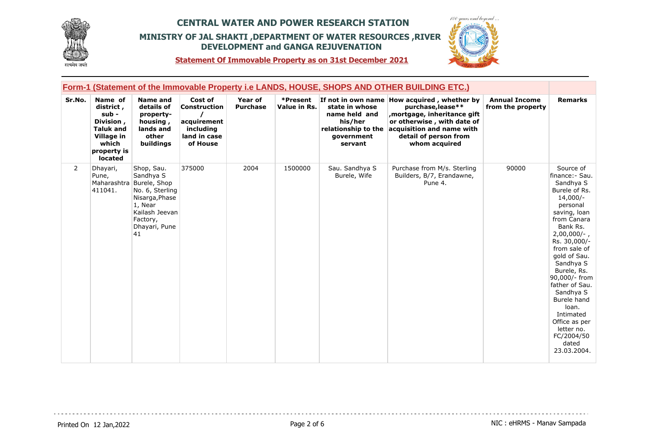



**Statement Of Immovable Property as on 31st December 2021**

|                | <b>Form-1 (Statement of the Immovable Property i.e LANDS, HOUSE, SHOPS AND OTHER BUILDING ETC.)</b>             |                                                                                                                                                          |                                                                                        |                                   |                          |                                                                                            |                                                                                                                                                                                                     |                                           |                                                                                                                                                                                                                                                                                                                                                                                         |  |  |
|----------------|-----------------------------------------------------------------------------------------------------------------|----------------------------------------------------------------------------------------------------------------------------------------------------------|----------------------------------------------------------------------------------------|-----------------------------------|--------------------------|--------------------------------------------------------------------------------------------|-----------------------------------------------------------------------------------------------------------------------------------------------------------------------------------------------------|-------------------------------------------|-----------------------------------------------------------------------------------------------------------------------------------------------------------------------------------------------------------------------------------------------------------------------------------------------------------------------------------------------------------------------------------------|--|--|
| Sr.No.         | Name of<br>district,<br>sub -<br>Division,<br><b>Taluk and</b><br>Village in<br>which<br>property is<br>located | <b>Name and</b><br>details of<br>property-<br>housing,<br>lands and<br>other<br>buildings                                                                | Cost of<br><b>Construction</b><br>acquirement<br>including<br>land in case<br>of House | <b>Year of</b><br><b>Purchase</b> | *Present<br>Value in Rs. | state in whose<br>name held and<br>his/her<br>relationship to the<br>government<br>servant | If not in own name How acquired, whether by<br>purchase, lease**<br>mortgage, inheritance gift<br>or otherwise, with date of<br>acquisition and name with<br>detail of person from<br>whom acquired | <b>Annual Income</b><br>from the property | <b>Remarks</b>                                                                                                                                                                                                                                                                                                                                                                          |  |  |
| $\overline{2}$ | Dhayari,<br>Pune,<br>411041.                                                                                    | Shop, Sau.<br>Sandhya S<br>Maharashtra Burele, Shop<br>No. 6, Sterling<br>Nisarga, Phase<br>1, Near<br>Kailash Jeevan<br>Factory,<br>Dhayari, Pune<br>41 | 375000                                                                                 | 2004                              | 1500000                  | Sau. Sandhya S<br>Burele, Wife                                                             | Purchase from M/s. Sterling<br>Builders, B/7, Erandawne,<br>Pune 4.                                                                                                                                 | 90000                                     | Source of<br>finance: - Sau.<br>Sandhya S<br>Burele of Rs.<br>$14,000/-$<br>personal<br>saving, loan<br>from Canara<br>Bank Rs.<br>$2,00,000/-$ ,<br>Rs. 30,000/-<br>from sale of<br>gold of Sau.<br>Sandhya S<br>Burele, Rs.<br>90,000/- from<br>father of Sau.<br>Sandhya S<br>Burele hand<br>loan.<br>Intimated<br>Office as per<br>letter no.<br>FC/2004/50<br>dated<br>23.03.2004. |  |  |

. . . . . . . . . . . . . . . . .

dia dia dia dia 4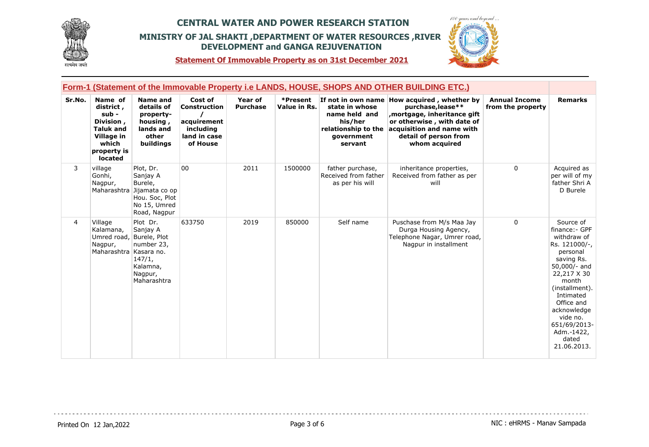



**Statement Of Immovable Property as on 31st December 2021**

|                | Form-1 (Statement of the Immovable Property i.e LANDS, HOUSE, SHOPS AND OTHER BUILDING ETC.)                    |                                                                                                                  |                                                                                 |                            |                          |                                                                                            |                                                                                                                                                                                                      |                                           |                                                                                                                                                                                                                                                             |  |
|----------------|-----------------------------------------------------------------------------------------------------------------|------------------------------------------------------------------------------------------------------------------|---------------------------------------------------------------------------------|----------------------------|--------------------------|--------------------------------------------------------------------------------------------|------------------------------------------------------------------------------------------------------------------------------------------------------------------------------------------------------|-------------------------------------------|-------------------------------------------------------------------------------------------------------------------------------------------------------------------------------------------------------------------------------------------------------------|--|
| Sr.No.         | Name of<br>district,<br>sub -<br>Division,<br><b>Taluk and</b><br>Village in<br>which<br>property is<br>located | <b>Name and</b><br>details of<br>property-<br>housing,<br>lands and<br>other<br>buildings                        | Cost of<br>Construction<br>acquirement<br>including<br>land in case<br>of House | Year of<br><b>Purchase</b> | *Present<br>Value in Rs. | state in whose<br>name held and<br>his/her<br>relationship to the<br>government<br>servant | If not in own name How acquired, whether by<br>purchase, lease**<br>mortgage, inheritance gift,<br>or otherwise, with date of<br>acquisition and name with<br>detail of person from<br>whom acquired | <b>Annual Income</b><br>from the property | <b>Remarks</b>                                                                                                                                                                                                                                              |  |
| 3              | village<br>Gonhi,<br>Nagpur,                                                                                    | Plot, Dr.<br>Sanjay A<br>Burele,<br>Maharashtra Jijamata co op<br>Hou. Soc, Plot<br>No 15, Umred<br>Road, Nagpur | 00                                                                              | 2011                       | 1500000                  | father purchase,<br>Received from father<br>as per his will                                | inheritance properties,<br>Received from father as per<br>will                                                                                                                                       | $\Omega$                                  | Acquired as<br>per will of my<br>father Shri A<br>D Burele                                                                                                                                                                                                  |  |
| $\overline{4}$ | Village<br>Kalamana,<br>Umred road, Burele, Plot<br>Nagpur,<br>Maharashtra Kasara no.                           | Plot Dr.<br>Sanjay A<br>number 23,<br>147/1,<br>Kalamna,<br>Nagpur,<br>Maharashtra                               | 633750                                                                          | 2019                       | 850000                   | Self name                                                                                  | Puschase from M/s Maa Jay<br>Durga Housing Agency,<br>Telephone Nagar, Umrer road,<br>Nagpur in installment                                                                                          | 0                                         | Source of<br>finance: - GPF<br>withdraw of<br>Rs. 121000/-,<br>personal<br>saving Rs.<br>50,000/- and<br>22,217 X 30<br>month<br>(installment).<br>Intimated<br>Office and<br>acknowledge<br>vide no.<br>651/69/2013-<br>Adm.-1422,<br>dated<br>21.06.2013. |  |

 $-$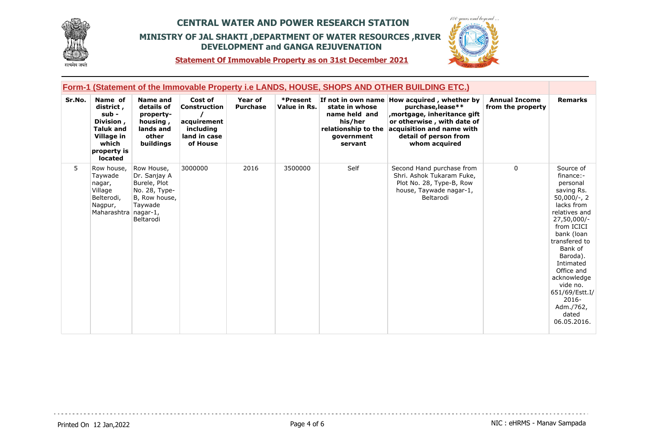



**Statement Of Immovable Property as on 31st December 2021**

|        |                                                                                                                 |                                                                                                      |                                                                                 |                            |                          |                                                                                            | Form-1 (Statement of the Immovable Property i.e LANDS, HOUSE, SHOPS AND OTHER BUILDING ETC.)                                                                                                        |                                           |                                                                                                                                                                                                                                                                                                               |
|--------|-----------------------------------------------------------------------------------------------------------------|------------------------------------------------------------------------------------------------------|---------------------------------------------------------------------------------|----------------------------|--------------------------|--------------------------------------------------------------------------------------------|-----------------------------------------------------------------------------------------------------------------------------------------------------------------------------------------------------|-------------------------------------------|---------------------------------------------------------------------------------------------------------------------------------------------------------------------------------------------------------------------------------------------------------------------------------------------------------------|
| Sr.No. | Name of<br>district,<br>sub -<br>Division,<br><b>Taluk and</b><br>Village in<br>which<br>property is<br>located | Name and<br>details of<br>property-<br>housing,<br>lands and<br>other<br>buildings                   | Cost of<br>Construction<br>acquirement<br>including<br>land in case<br>of House | Year of<br><b>Purchase</b> | *Present<br>Value in Rs. | state in whose<br>name held and<br>his/her<br>relationship to the<br>government<br>servant | If not in own name How acquired, whether by<br>purchase, lease**<br>mortgage, inheritance gift<br>or otherwise, with date of<br>acquisition and name with<br>detail of person from<br>whom acquired | <b>Annual Income</b><br>from the property | <b>Remarks</b>                                                                                                                                                                                                                                                                                                |
| 5.     | Row house,<br>Taywade<br>nagar,<br>Village<br>Belterodi,<br>Nagpur,<br>Maharashtra nagar-1,                     | Row House,<br>Dr. Sanjay A<br>Burele, Plot<br>No. 28, Type-<br>B, Row house,<br>Taywade<br>Beltarodi | 3000000                                                                         | 2016                       | 3500000                  | Self                                                                                       | Second Hand purchase from<br>Shri. Ashok Tukaram Fuke,<br>Plot No. 28, Type-B, Row<br>house, Taywade nagar-1,<br>Beltarodi                                                                          | $\Omega$                                  | Source of<br>finance:-<br>personal<br>saving Rs.<br>$50,000/-$ , 2<br>lacks from<br>relatives and<br>27,50,000/-<br>from ICICI<br>bank (loan<br>transfered to<br>Bank of<br>Baroda).<br>Intimated<br>Office and<br>acknowledge<br>vide no.<br>651/69/Estt.I/<br>$2016 -$<br>Adm./762,<br>dated<br>06.05.2016. |

dia dia dia dia 4

. . . . . . . . . . . . . . . . . .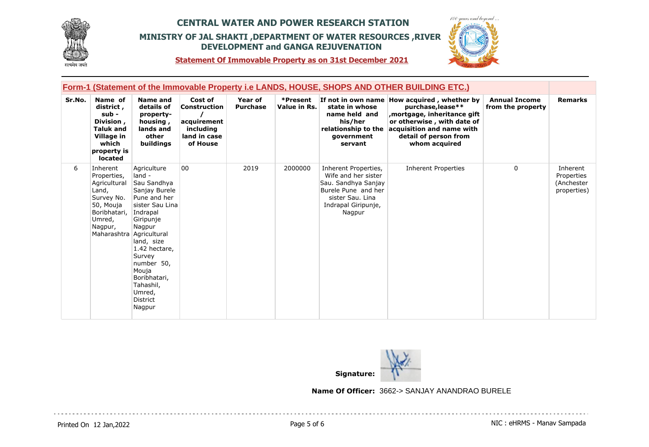



**Statement Of Immovable Property as on 31st December 2021**

|        |                                                                                                                                              |                                                                                                                                                                                                                                                                 |                                                                                 |                            |                          |                                                                                                                                                | Form-1 (Statement of the Immovable Property i.e LANDS, HOUSE, SHOPS AND OTHER BUILDING ETC.)                                                                                                          |                                           |                                                     |
|--------|----------------------------------------------------------------------------------------------------------------------------------------------|-----------------------------------------------------------------------------------------------------------------------------------------------------------------------------------------------------------------------------------------------------------------|---------------------------------------------------------------------------------|----------------------------|--------------------------|------------------------------------------------------------------------------------------------------------------------------------------------|-------------------------------------------------------------------------------------------------------------------------------------------------------------------------------------------------------|-------------------------------------------|-----------------------------------------------------|
| Sr.No. | Name of<br>district,<br>$sub -$<br>Division,<br><b>Taluk and</b><br>Village in<br>which<br>property is<br>located                            | <b>Name and</b><br>details of<br>property-<br>housing,<br>lands and<br>other<br>buildings                                                                                                                                                                       | Cost of<br>Construction<br>acquirement<br>including<br>land in case<br>of House | Year of<br><b>Purchase</b> | *Present<br>Value in Rs. | state in whose<br>name held and<br>his/her<br>relationship to the<br>qovernment<br>servant                                                     | If not in own name How acquired, whether by<br>purchase, lease**<br>, mortgage, inheritance gift<br>or otherwise, with date of<br>acquisition and name with<br>detail of person from<br>whom acquired | <b>Annual Income</b><br>from the property | <b>Remarks</b>                                      |
| 6      | Inherent<br>Properties,<br>Agricultural<br>Land,<br>Survey No.<br>50, Mouja<br>Boribhatari,<br>Umred,<br>Nagpur,<br>Maharashtra Agricultural | Agriculture<br>land -<br>Sau Sandhya<br>Sanjay Burele<br>Pune and her<br>sister Sau Lina<br>Indrapal<br>Giripunje<br>Nagpur<br>land, size<br>1.42 hectare,<br>Survey<br>number 50,<br>Mouja<br>Boribhatari,<br>Tahashil,<br>Umred,<br><b>District</b><br>Nagpur | 00                                                                              | 2019                       | 2000000                  | Inherent Properties,<br>Wife and her sister<br>Sau. Sandhya Sanjay<br>Burele Pune and her<br>sister Sau. Lina<br>Indrapal Giripunje,<br>Nagpur | <b>Inherent Properties</b>                                                                                                                                                                            | $\Omega$                                  | Inherent<br>Properties<br>(Anchester<br>properties) |



**Name Of Officer:** 3662-> SANJAY ANANDRAO BURELE

 $\sim$   $\sim$   $\sim$ 

Printed On 12 Jan, 2022 **Page 5 of 6** Printed On 12 Jan, 2022 **Page 19th Page 5 of 6** NIC : eHRMS - Manav Sampada